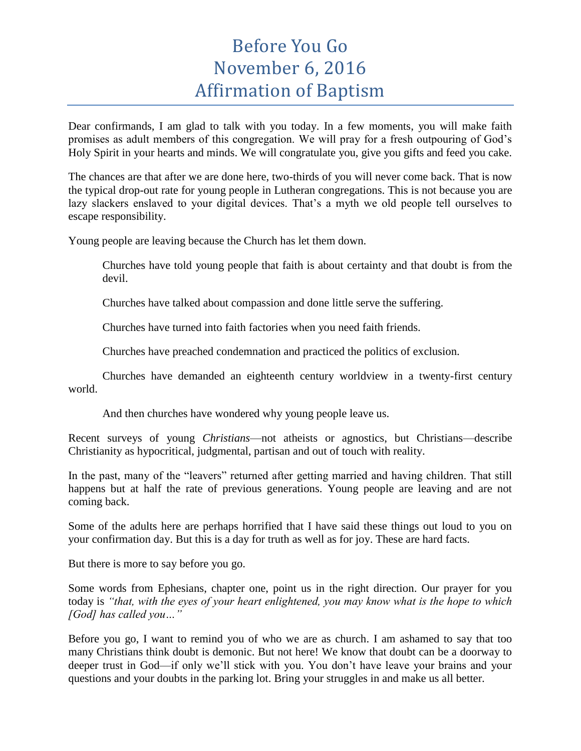## Before You Go November 6, 2016 Affirmation of Baptism

Dear confirmands, I am glad to talk with you today. In a few moments, you will make faith promises as adult members of this congregation. We will pray for a fresh outpouring of God's Holy Spirit in your hearts and minds. We will congratulate you, give you gifts and feed you cake.

The chances are that after we are done here, two-thirds of you will never come back. That is now the typical drop-out rate for young people in Lutheran congregations. This is not because you are lazy slackers enslaved to your digital devices. That's a myth we old people tell ourselves to escape responsibility.

Young people are leaving because the Church has let them down.

Churches have told young people that faith is about certainty and that doubt is from the devil.

Churches have talked about compassion and done little serve the suffering.

Churches have turned into faith factories when you need faith friends.

Churches have preached condemnation and practiced the politics of exclusion.

Churches have demanded an eighteenth century worldview in a twenty-first century world.

And then churches have wondered why young people leave us.

Recent surveys of young *Christians*—not atheists or agnostics, but Christians—describe Christianity as hypocritical, judgmental, partisan and out of touch with reality.

In the past, many of the "leavers" returned after getting married and having children. That still happens but at half the rate of previous generations. Young people are leaving and are not coming back.

Some of the adults here are perhaps horrified that I have said these things out loud to you on your confirmation day. But this is a day for truth as well as for joy. These are hard facts.

But there is more to say before you go.

Some words from Ephesians, chapter one, point us in the right direction. Our prayer for you today is *"that, with the eyes of your heart enlightened, you may know what is the hope to which [God] has called you…"*

Before you go, I want to remind you of who we are as church. I am ashamed to say that too many Christians think doubt is demonic. But not here! We know that doubt can be a doorway to deeper trust in God—if only we'll stick with you. You don't have leave your brains and your questions and your doubts in the parking lot. Bring your struggles in and make us all better.